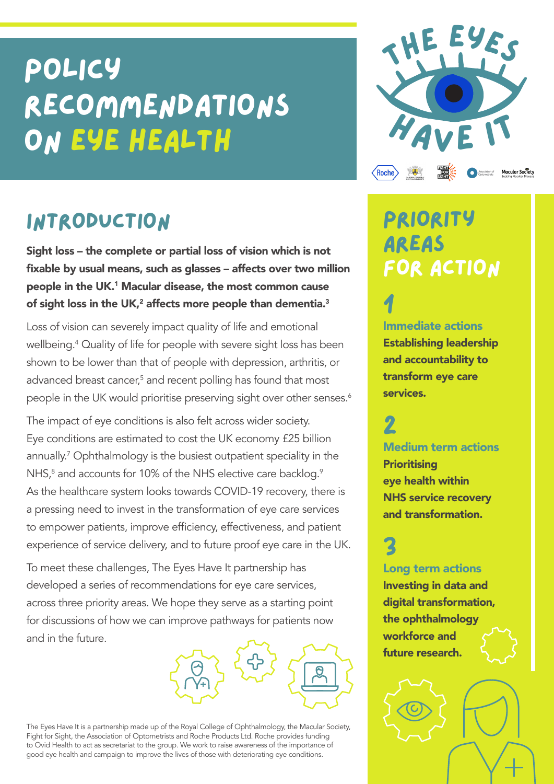## Policy recommendations on eye health

## Introduction

Sight loss – the complete or partial loss of vision which is not fixable by usual means, such as glasses – affects over two million people in the UK.1 Macular disease, the most common cause of sight loss in the UK, $^{\mathsf{2}}$  affects more people than dementia. $^{\mathsf{3}}$ 

Loss of vision can severely impact quality of life and emotional wellbeing.4 Quality of life for people with severe sight loss has been shown to be lower than that of people with depression, arthritis, or advanced breast cancer,<sup>5</sup> and recent polling has found that most people in the UK would prioritise preserving sight over other senses. $^6$ 

The impact of eye conditions is also felt across wider society. Eye conditions are estimated to cost the UK economy £25 billion annually.<sup>7</sup> Ophthalmology is the busiest outpatient speciality in the NHS, $^8$  and accounts for 10% of the NHS elective care backlog. $^9$ As the healthcare system looks towards COVID-19 recovery, there is a pressing need to invest in the transformation of eye care services to empower patients, improve efficiency, effectiveness, and patient experience of service delivery, and to future proof eye care in the UK.

To meet these challenges, The Eyes Have It partnership has developed a series of recommendations for eye care services, across three priority areas. We hope they serve as a starting point for discussions of how we can improve pathways for patients now and in the future.



The Eyes Have It is a partnership made up of the Royal College of Ophthalmology, the Macular Society, Fight for Sight, the Association of Optometrists and Roche Products Ltd. Roche provides funding to Ovid Health to act as secretariat to the group. We work to raise awareness of the importance of good eye health and campaign to improve the lives of those with deteriorating eye conditions.



## **PRIORITY AREAS** for action

1 Immediate actions Establishing leadership and accountability to transform eye care services.

## 2

Medium term actions

Prioritising eye health within NHS service recovery and transformation.

## 3

Long term actions

Investing in data and digital transformation, the ophthalmology workforce and future research.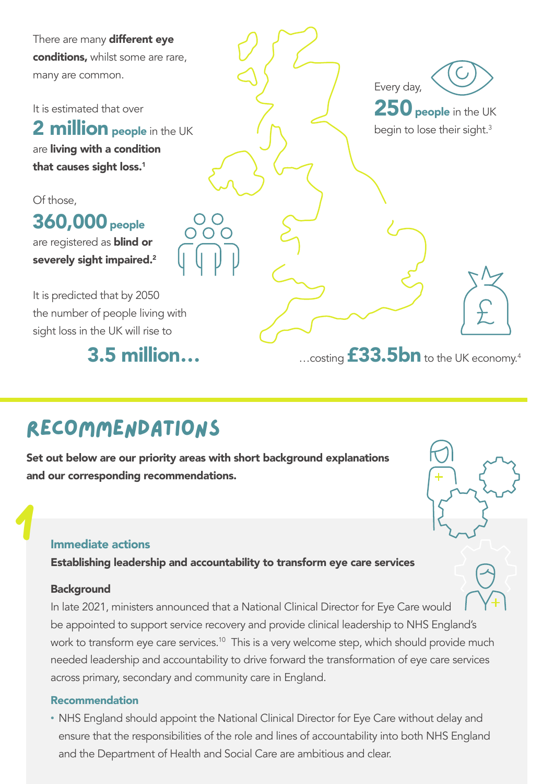There are many different eye conditions, whilst some are rare, many are common.

It is estimated that over

2 million people in the UK are living with a condition that causes sight loss.<sup>1</sup>

Of those,

### 360,000 people

are registered as **blind or** severely sight impaired.<sup>2</sup>

It is predicted that by 2050 the number of people living with sight loss in the UK will rise to

3.5 million…

# Every day, 250 people in the UK begin to lose their sight.<sup>3</sup>  $\bigcap$

... $\cos$ ting  $\textbf{f}33.5\textbf{bn}$  to the UK economy.<sup>4</sup>

## Recommendations

Set out below are our priority areas with short background explanations and our corresponding recommendations.



Establishing leadership and accountability to transform eye care services

#### **Background**

In late 2021, ministers announced that a National Clinical Director for Eye Care would be appointed to support service recovery and provide clinical leadership to NHS England's work to transform eye care services.<sup>10</sup> This is a very welcome step, which should provide much needed leadership and accountability to drive forward the transformation of eye care services across primary, secondary and community care in England.

#### Recommendation

• NHS England should appoint the National Clinical Director for Eye Care without delay and ensure that the responsibilities of the role and lines of accountability into both NHS England and the Department of Health and Social Care are ambitious and clear.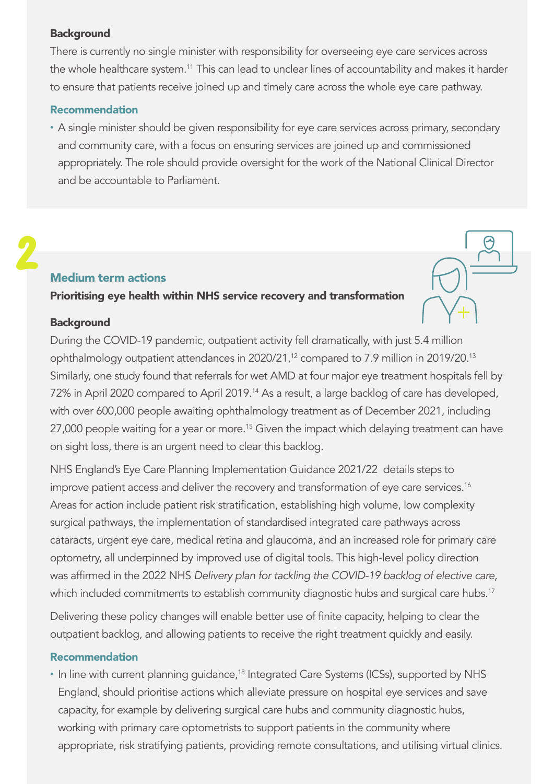#### **Background**

There is currently no single minister with responsibility for overseeing eye care services across the whole healthcare system.<sup>11</sup> This can lead to unclear lines of accountability and makes it harder to ensure that patients receive joined up and timely care across the whole eye care pathway.

#### Recommendation

• A single minister should be given responsibility for eye care services across primary, secondary and community care, with a focus on ensuring services are joined up and commissioned appropriately. The role should provide oversight for the work of the National Clinical Director and be accountable to Parliament.

#### Medium term actions

Prioritising eye health within NHS service recovery and transformation

#### **Background**

2

During the COVID-19 pandemic, outpatient activity fell dramatically, with just 5.4 million ophthalmology outpatient attendances in 2020/21,<sup>12</sup> compared to 7.9 million in 2019/20.<sup>13</sup> Similarly, one study found that referrals for wet AMD at four major eye treatment hospitals fell by 72% in April 2020 compared to April 2019.14 As a result, a large backlog of care has developed, with over 600,000 people awaiting ophthalmology treatment as of December 2021, including 27,000 people waiting for a year or more.<sup>15</sup> Given the impact which delaying treatment can have on sight loss, there is an urgent need to clear this backlog.

NHS England's Eye Care Planning Implementation Guidance 2021/22 details steps to improve patient access and deliver the recovery and transformation of eye care services.<sup>16</sup> Areas for action include patient risk stratification, establishing high volume, low complexity surgical pathways, the implementation of standardised integrated care pathways across cataracts, urgent eye care, medical retina and glaucoma, and an increased role for primary care optometry, all underpinned by improved use of digital tools. This high-level policy direction was affirmed in the 2022 NHS *Delivery plan for tackling the COVID-19 backlog of elective care,* which included commitments to establish community diagnostic hubs and surgical care hubs.<sup>17</sup>

Delivering these policy changes will enable better use of finite capacity, helping to clear the outpatient backlog, and allowing patients to receive the right treatment quickly and easily.

#### Recommendation

• In line with current planning guidance,<sup>18</sup> Integrated Care Systems (ICSs), supported by NHS England, should prioritise actions which alleviate pressure on hospital eye services and save capacity, for example by delivering surgical care hubs and community diagnostic hubs, working with primary care optometrists to support patients in the community where appropriate, risk stratifying patients, providing remote consultations, and utilising virtual clinics.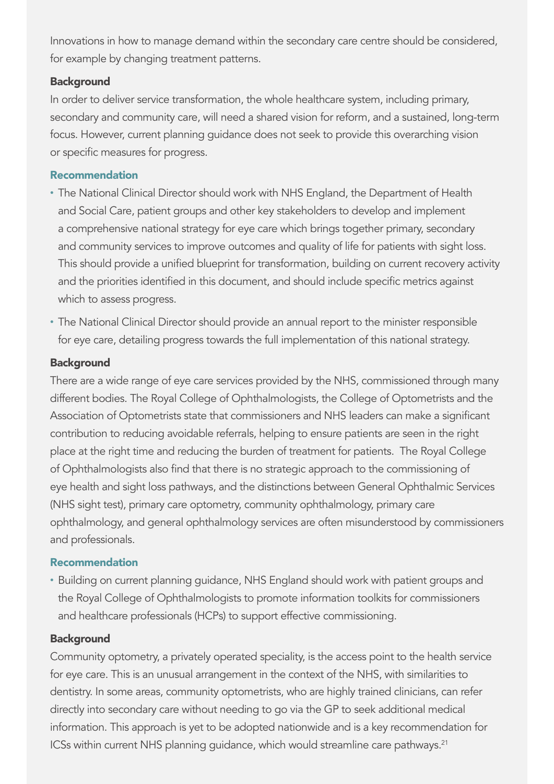Innovations in how to manage demand within the secondary care centre should be considered, for example by changing treatment patterns.

#### **Background**

In order to deliver service transformation, the whole healthcare system, including primary, secondary and community care, will need a shared vision for reform, and a sustained, long-term focus. However, current planning guidance does not seek to provide this overarching vision or specific measures for progress.

#### Recommendation

- The National Clinical Director should work with NHS England, the Department of Health and Social Care, patient groups and other key stakeholders to develop and implement a comprehensive national strategy for eye care which brings together primary, secondary and community services to improve outcomes and quality of life for patients with sight loss. This should provide a unified blueprint for transformation, building on current recovery activity and the priorities identified in this document, and should include specific metrics against which to assess progress.
- The National Clinical Director should provide an annual report to the minister responsible for eye care, detailing progress towards the full implementation of this national strategy.

#### **Background**

There are a wide range of eye care services provided by the NHS, commissioned through many different bodies. The Royal College of Ophthalmologists, the College of Optometrists and the Association of Optometrists state that commissioners and NHS leaders can make a significant contribution to reducing avoidable referrals, helping to ensure patients are seen in the right place at the right time and reducing the burden of treatment for patients. The Royal College of Ophthalmologists also find that there is no strategic approach to the commissioning of eye health and sight loss pathways, and the distinctions between General Ophthalmic Services (NHS sight test), primary care optometry, community ophthalmology, primary care ophthalmology, and general ophthalmology services are often misunderstood by commissioners and professionals.

#### Recommendation

• Building on current planning guidance, NHS England should work with patient groups and the Royal College of Ophthalmologists to promote information toolkits for commissioners and healthcare professionals (HCPs) to support effective commissioning.

#### **Background**

Community optometry, a privately operated speciality, is the access point to the health service for eye care. This is an unusual arrangement in the context of the NHS, with similarities to dentistry. In some areas, community optometrists, who are highly trained clinicians, can refer directly into secondary care without needing to go via the GP to seek additional medical information. This approach is yet to be adopted nationwide and is a key recommendation for ICSs within current NHS planning guidance, which would streamline care pathways.<sup>21</sup>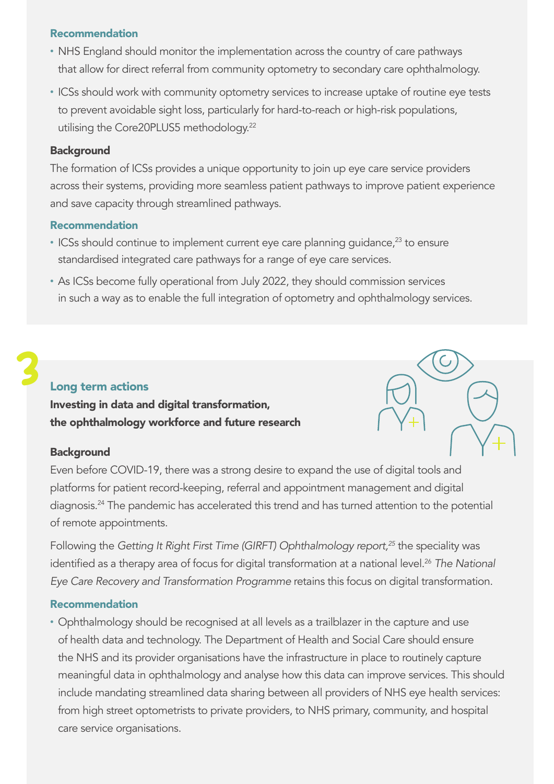#### Recommendation

- NHS England should monitor the implementation across the country of care pathways that allow for direct referral from community optometry to secondary care ophthalmology.
- ICSs should work with community optometry services to increase uptake of routine eye tests to prevent avoidable sight loss, particularly for hard-to-reach or high-risk populations, utilising the Core20PLUS5 methodology.22

#### **Background**

The formation of ICSs provides a unique opportunity to join up eye care service providers across their systems, providing more seamless patient pathways to improve patient experience and save capacity through streamlined pathways.

#### Recommendation

- ICSs should continue to implement current eye care planning guidance,<sup>23</sup> to ensure standardised integrated care pathways for a range of eye care services.
- As ICSs become fully operational from July 2022, they should commission services in such a way as to enable the full integration of optometry and ophthalmology services.

#### Long term actions

Investing in data and digital transformation, the ophthalmology workforce and future research

#### **Background**

3

Even before COVID-19, there was a strong desire to expand the use of digital tools and platforms for patient record-keeping, referral and appointment management and digital diagnosis.24 The pandemic has accelerated this trend and has turned attention to the potential of remote appointments.

Following the Getting It Right First Time (GIRFT) Ophthalmology report,<sup>25</sup> the speciality was identified as a therapy area of focus for digital transformation at a national level.<sup>26</sup> The National *Eye Care Recovery and Transformation Programme* retains this focus on digital transformation.

#### Recommendation

• Ophthalmology should be recognised at all levels as a trailblazer in the capture and use of health data and technology. The Department of Health and Social Care should ensure the NHS and its provider organisations have the infrastructure in place to routinely capture meaningful data in ophthalmology and analyse how this data can improve services. This should include mandating streamlined data sharing between all providers of NHS eye health services: from high street optometrists to private providers, to NHS primary, community, and hospital care service organisations.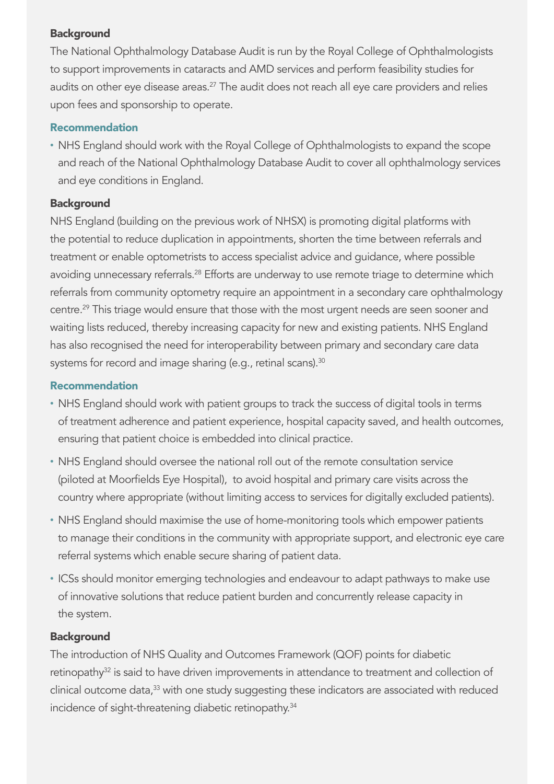#### **Background**

The National Ophthalmology Database Audit is run by the Royal College of Ophthalmologists to support improvements in cataracts and AMD services and perform feasibility studies for audits on other eye disease areas.<sup>27</sup> The audit does not reach all eye care providers and relies upon fees and sponsorship to operate.

#### Recommendation

• NHS England should work with the Royal College of Ophthalmologists to expand the scope and reach of the National Ophthalmology Database Audit to cover all ophthalmology services and eye conditions in England.

#### **Background**

NHS England (building on the previous work of NHSX) is promoting digital platforms with the potential to reduce duplication in appointments, shorten the time between referrals and treatment or enable optometrists to access specialist advice and guidance, where possible avoiding unnecessary referrals.<sup>28</sup> Efforts are underway to use remote triage to determine which referrals from community optometry require an appointment in a secondary care ophthalmology centre.29 This triage would ensure that those with the most urgent needs are seen sooner and waiting lists reduced, thereby increasing capacity for new and existing patients. NHS England has also recognised the need for interoperability between primary and secondary care data systems for record and image sharing (e.g., retinal scans).<sup>30</sup>

#### Recommendation

- NHS England should work with patient groups to track the success of digital tools in terms of treatment adherence and patient experience, hospital capacity saved, and health outcomes, ensuring that patient choice is embedded into clinical practice.
- NHS England should oversee the national roll out of the remote consultation service (piloted at Moorfields Eye Hospital), to avoid hospital and primary care visits across the country where appropriate (without limiting access to services for digitally excluded patients).
- NHS England should maximise the use of home-monitoring tools which empower patients to manage their conditions in the community with appropriate support, and electronic eye care referral systems which enable secure sharing of patient data.
- ICSs should monitor emerging technologies and endeavour to adapt pathways to make use of innovative solutions that reduce patient burden and concurrently release capacity in the system.

#### **Background**

The introduction of NHS Quality and Outcomes Framework (QOF) points for diabetic retinopathy<sup>32</sup> is said to have driven improvements in attendance to treatment and collection of clinical outcome data,<sup>33</sup> with one study suggesting these indicators are associated with reduced incidence of sight-threatening diabetic retinopathy.<sup>34</sup>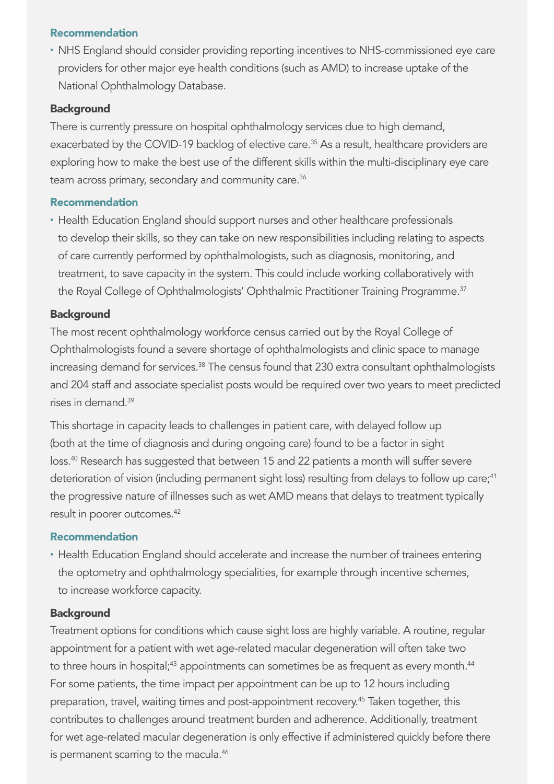#### Recommendation

• NHS England should consider providing reporting incentives to NHS-commissioned eye care providers for other major eye health conditions (such as AMD) to increase uptake of the National Ophthalmology Database.

#### **Background**

There is currently pressure on hospital ophthalmology services due to high demand, exacerbated by the COVID-19 backlog of elective care.<sup>35</sup> As a result, healthcare providers are exploring how to make the best use of the different skills within the multi-disciplinary eye care team across primary, secondary and community care.<sup>36</sup>

#### Recommendation

• Health Education England should support nurses and other healthcare professionals to develop their skills, so they can take on new responsibilities including relating to aspects of care currently performed by ophthalmologists, such as diagnosis, monitoring, and treatment, to save capacity in the system. This could include working collaboratively with the Royal College of Ophthalmologists' Ophthalmic Practitioner Training Programme.<sup>37</sup>

#### **Background**

The most recent ophthalmology workforce census carried out by the Royal College of Ophthalmologists found a severe shortage of ophthalmologists and clinic space to manage increasing demand for services.<sup>38</sup> The census found that 230 extra consultant ophthalmologists and 204 staff and associate specialist posts would be required over two years to meet predicted rises in demand.39

This shortage in capacity leads to challenges in patient care, with delayed follow up (both at the time of diagnosis and during ongoing care) found to be a factor in sight loss.40 Research has suggested that between 15 and 22 patients a month will suffer severe deterioration of vision (including permanent sight loss) resulting from delays to follow up care;<sup>41</sup> the progressive nature of illnesses such as wet AMD means that delays to treatment typically result in poorer outcomes.42

#### Recommendation

• Health Education England should accelerate and increase the number of trainees entering the optometry and ophthalmology specialities, for example through incentive schemes, to increase workforce capacity.

#### **Background**

Treatment options for conditions which cause sight loss are highly variable. A routine, regular appointment for a patient with wet age-related macular degeneration will often take two to three hours in hospital;<sup>43</sup> appointments can sometimes be as frequent as every month.<sup>44</sup> For some patients, the time impact per appointment can be up to 12 hours including preparation, travel, waiting times and post-appointment recovery.45 Taken together, this contributes to challenges around treatment burden and adherence. Additionally, treatment for wet age-related macular degeneration is only effective if administered quickly before there is permanent scarring to the macula.<sup>46</sup>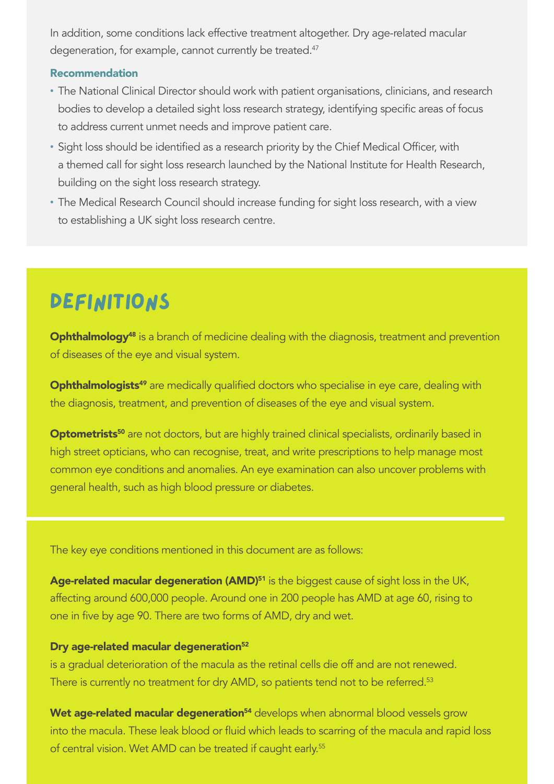In addition, some conditions lack effective treatment altogether. Dry age-related macular degeneration, for example, cannot currently be treated.<sup>47</sup>

#### Recommendation

- The National Clinical Director should work with patient organisations, clinicians, and research bodies to develop a detailed sight loss research strategy, identifying specific areas of focus to address current unmet needs and improve patient care.
- Sight loss should be identified as a research priority by the Chief Medical Officer, with a themed call for sight loss research launched by the National Institute for Health Research, building on the sight loss research strategy.
- The Medical Research Council should increase funding for sight loss research, with a view to establishing a UK sight loss research centre.

## **DEFINITIONS**

Ophthalmology<sup>48</sup> is a branch of medicine dealing with the diagnosis, treatment and prevention of diseases of the eye and visual system.

Ophthalmologists<sup>49</sup> are medically qualified doctors who specialise in eye care, dealing with the diagnosis, treatment, and prevention of diseases of the eye and visual system.

Optometrists<sup>50</sup> are not doctors, but are highly trained clinical specialists, ordinarily based in high street opticians, who can recognise, treat, and write prescriptions to help manage most common eye conditions and anomalies. An eye examination can also uncover problems with general health, such as high blood pressure or diabetes.

The key eye conditions mentioned in this document are as follows:

Age-related macular degeneration (AMD)<sup>51</sup> is the biggest cause of sight loss in the UK, affecting around 600,000 people. Around one in 200 people has AMD at age 60, rising to one in five by age 90. There are two forms of AMD, dry and wet.

#### Dry age-related macular degeneration<sup>52</sup>

is a gradual deterioration of the macula as the retinal cells die off and are not renewed. There is currently no treatment for dry AMD, so patients tend not to be referred.<sup>53</sup>

Wet age-related macular degeneration<sup>54</sup> develops when abnormal blood vessels grow into the macula. These leak blood or fluid which leads to scarring of the macula and rapid loss of central vision. Wet AMD can be treated if caught early.<sup>55</sup>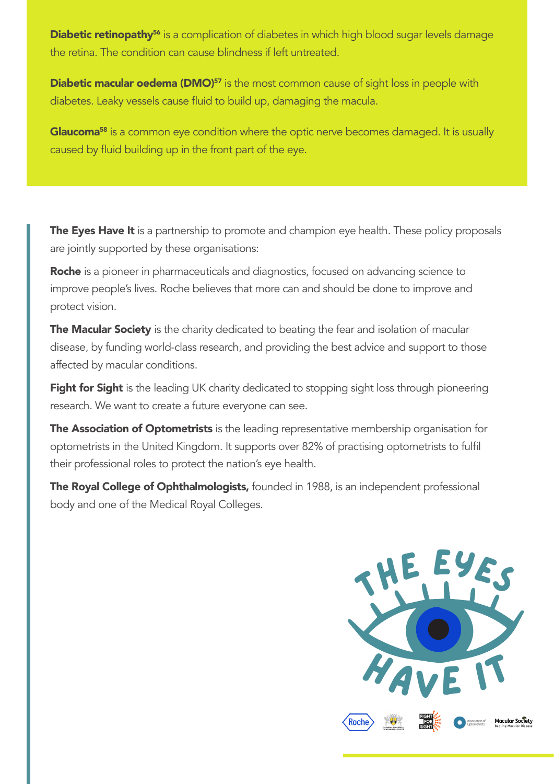Diabetic retinopathy<sup>56</sup> is a complication of diabetes in which high blood sugar levels damage the retina. The condition can cause blindness if left untreated.

**Diabetic macular oedema (DMO)**<sup>57</sup> is the most common cause of sight loss in people with diabetes. Leaky vessels cause fluid to build up, damaging the macula.

Glaucoma<sup>58</sup> is a common eye condition where the optic nerve becomes damaged. It is usually caused by fluid building up in the front part of the eye.

The Eyes Have It is a partnership to promote and champion eye health. These policy proposals are jointly supported by these organisations:

Roche is a pioneer in pharmaceuticals and diagnostics, focused on advancing science to improve people's lives. Roche believes that more can and should be done to improve and protect vision.

The Macular Society is the charity dedicated to beating the fear and isolation of macular disease, by funding world-class research, and providing the best advice and support to those affected by macular conditions.

Fight for Sight is the leading UK charity dedicated to stopping sight loss through pioneering research. We want to create a future everyone can see.

The Association of Optometrists is the leading representative membership organisation for optometrists in the United Kingdom. It supports over 82% of practising optometrists to fulfil their professional roles to protect the nation's eye health.

The Royal College of Ophthalmologists, founded in 1988, is an independent professional body and one of the Medical Royal Colleges.